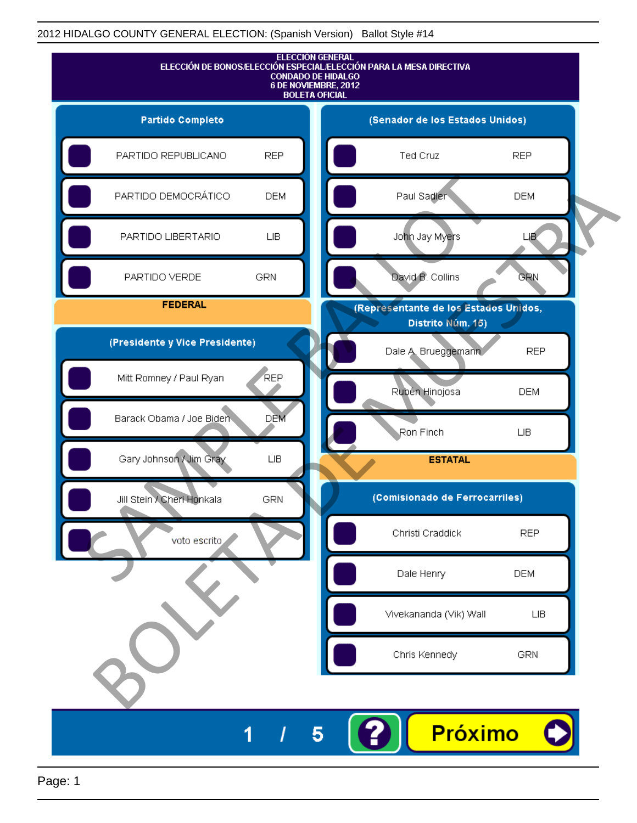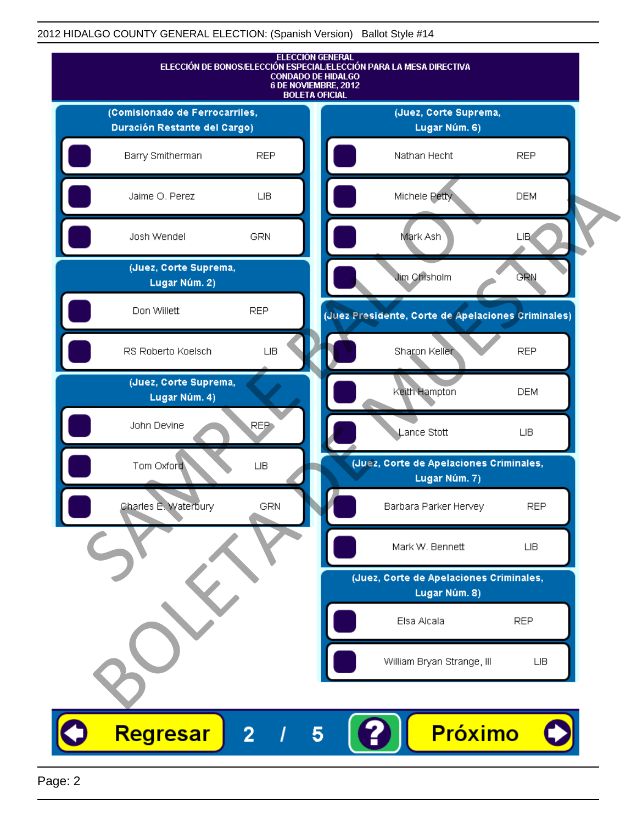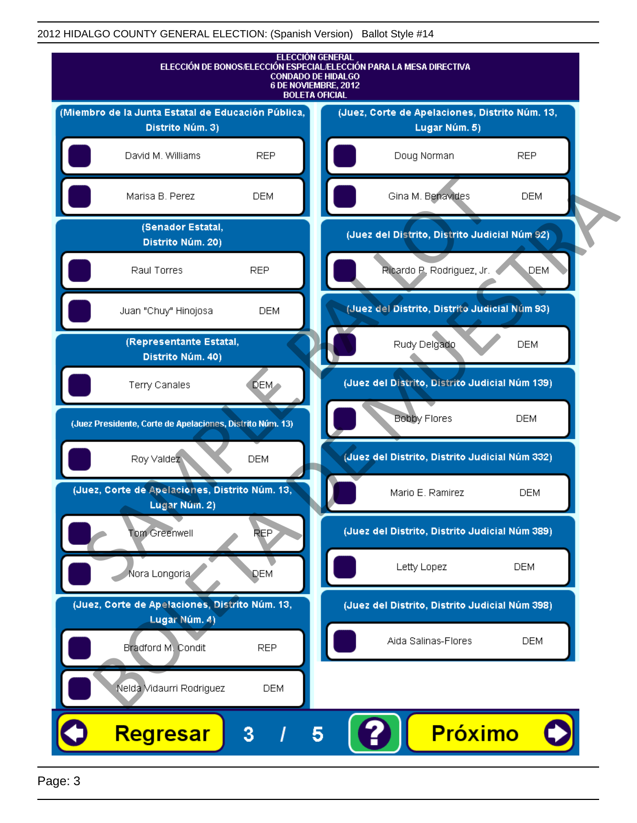

Page: 3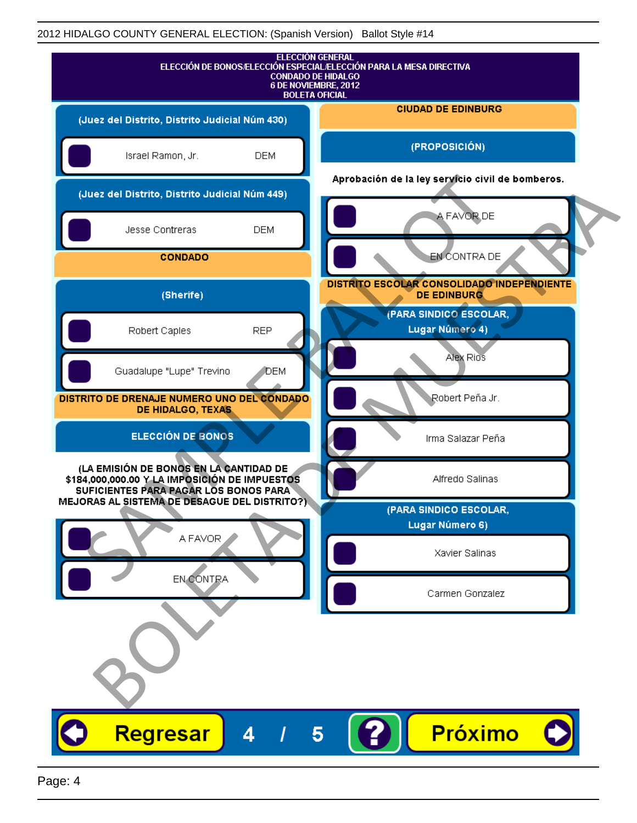| <b>ELECCIÓN GENERAL</b><br>ELECCIÓN DE BONOS/ELECCIÓN ESPECIAL/ELECCIÓN PARA LA MESA DIRECTIVA<br><b>CONDADO DE HIDALGO</b><br>6 DE NOVIEMBRE, 2012<br><b>BOLETA OFICIAL</b> |                                                                  |
|------------------------------------------------------------------------------------------------------------------------------------------------------------------------------|------------------------------------------------------------------|
| (Juez del Distrito, Distrito Judicial Núm 430)                                                                                                                               | <b>CIUDAD DE EDINBURG</b>                                        |
| Israel Ramon, Jr.<br><b>DEM</b>                                                                                                                                              | (PROPOSICIÓN)                                                    |
| (Juez del Distrito, Distrito Judicial Núm 449)                                                                                                                               | Aprobación de la ley servicio civil de bomberos.                 |
| <b>DEM</b><br>Jesse Contreras                                                                                                                                                | A FAVOR DE                                                       |
| <b>CONDADO</b>                                                                                                                                                               | EN CONTRA DE                                                     |
| (Sherife)                                                                                                                                                                    | DISTRITO ESCOLAR CONSOLIDADO INDEPENDIENTE<br><b>DE EDINBURG</b> |
| Robert Caples<br><b>REP</b>                                                                                                                                                  | (PARA SINDICO ESCOLAR,<br>Lugar Número 4)                        |
| Guadalupe "Lupe" Trevino<br><b>J</b> DEM                                                                                                                                     | Alex Rios                                                        |
| DISTRITO DE DRENAJE NUMERO UNO DEL CONDADO<br>DE HIDALGO, TEXAS                                                                                                              | Robert Peña Jr.                                                  |
| <b>ELECCIÓN DE BONOS</b>                                                                                                                                                     | Irma Salazar Peña                                                |
| (LA EMISIÓN DE BONOS EN LA CANTIDAD DE<br>\$184,000,000.00 Y LA IMPOSICIÓN DE IMPUESTOS<br>SUFICIENTES PARA PAGAR LOS BONOS PARA                                             | Alfredo Salinas                                                  |
| MEJORAS AL SISTEMA DE DESAGUE DEL DISTRITO?).                                                                                                                                | (PARA SINDICO ESCOLAR,<br>Lugar Número 6)                        |
| A FAVOR                                                                                                                                                                      | Xavier Salinas                                                   |
| EN CONTRA                                                                                                                                                                    | Carmen Gonzalez                                                  |
|                                                                                                                                                                              |                                                                  |
| Regresar<br>4                                                                                                                                                                | <b>Próximo</b><br>5                                              |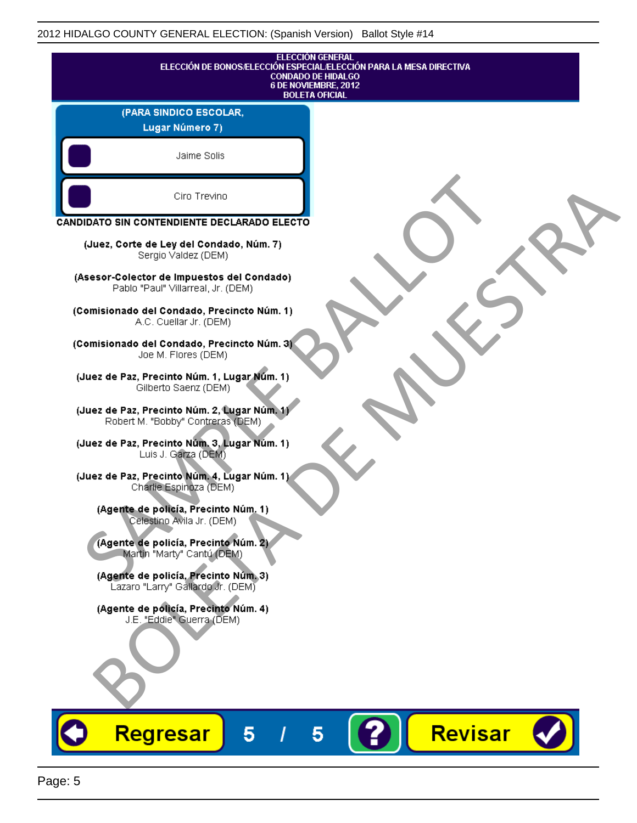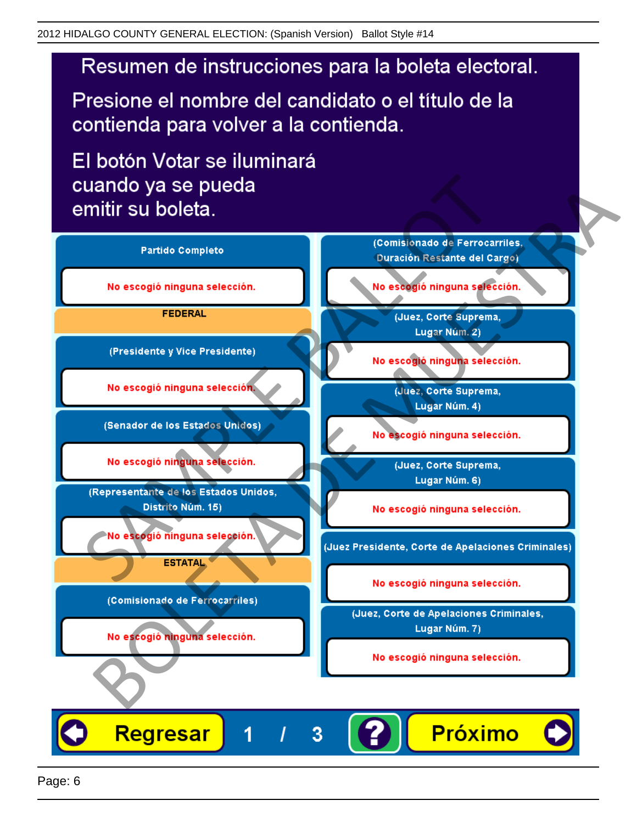# Resumen de instrucciones para la boleta electoral.

Presione el nombre del candidato o el título de la contienda para volver a la contienda.

El botón Votar se iluminará

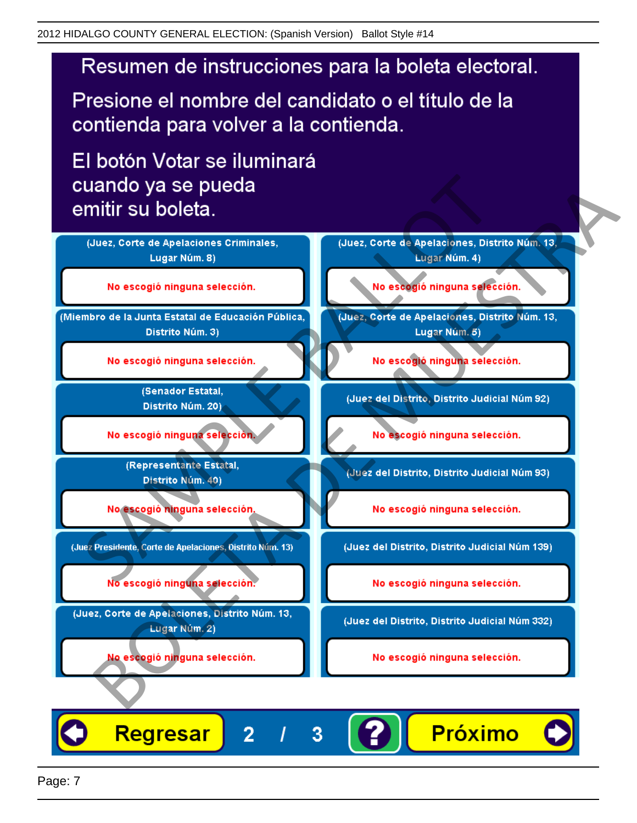# Resumen de instrucciones para la boleta electoral.

Presione el nombre del candidato o el título de la contienda para volver a la contienda.

El botón Votar se iluminará